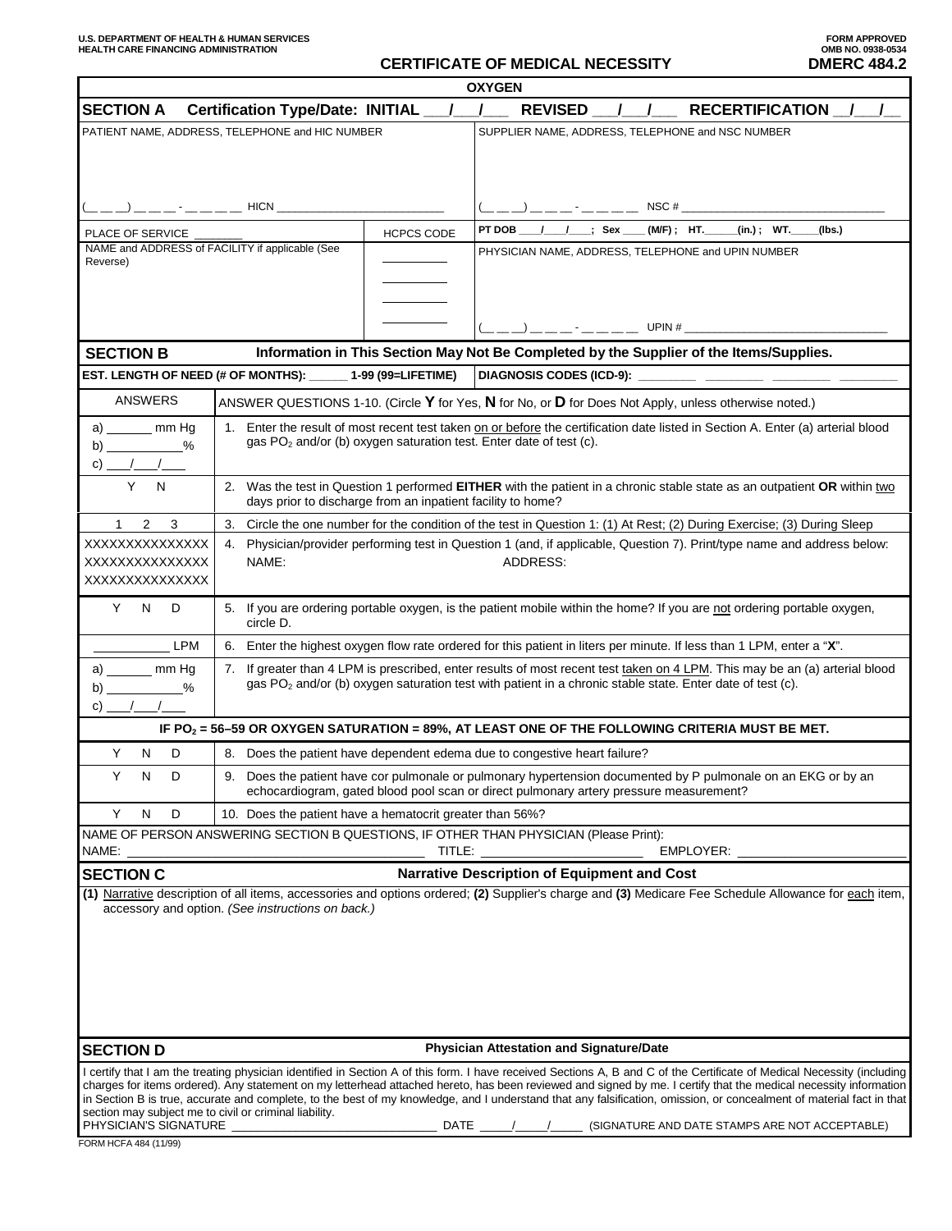## FORM APPROVED FORM APPROVED<br>CERTIFICATE OF MEDICAL NECESSITY **DMERC 484.2**

| <b>OXYGEN</b>                                                                                                                                                                                                                                                                                                                                                                                                                                                                                                       |                                                                                                                          |                                                                                                                                                                                                                   |  |  |
|---------------------------------------------------------------------------------------------------------------------------------------------------------------------------------------------------------------------------------------------------------------------------------------------------------------------------------------------------------------------------------------------------------------------------------------------------------------------------------------------------------------------|--------------------------------------------------------------------------------------------------------------------------|-------------------------------------------------------------------------------------------------------------------------------------------------------------------------------------------------------------------|--|--|
| <b>SECTION A</b><br>Certification Type/Date: INITIAL __/                                                                                                                                                                                                                                                                                                                                                                                                                                                            |                                                                                                                          | $\mathcal{L}$<br>REVISED / / RECERTIFICATION /                                                                                                                                                                    |  |  |
| PATIENT NAME, ADDRESS, TELEPHONE and HIC NUMBER                                                                                                                                                                                                                                                                                                                                                                                                                                                                     |                                                                                                                          | SUPPLIER NAME, ADDRESS, TELEPHONE and NSC NUMBER                                                                                                                                                                  |  |  |
|                                                                                                                                                                                                                                                                                                                                                                                                                                                                                                                     |                                                                                                                          |                                                                                                                                                                                                                   |  |  |
|                                                                                                                                                                                                                                                                                                                                                                                                                                                                                                                     |                                                                                                                          |                                                                                                                                                                                                                   |  |  |
| $($ $\_\_$ $\_\_$ $\_\_$ $\_\_$ $\_\_$ $\_\_$ $\_\_$ $\_\_$ $\_\_$ $\_\_$ $\_\_$ $\_\_$ $\_\_$ $\_\_$ $\_\_$ $\_\_$ $\_\_$ $\_\_$ $\_\_$ $\_\_$ $\_\_$ $\_\_$ $\_\_$ $\_\_$ $\_\_$                                                                                                                                                                                                                                                                                                                                  |                                                                                                                          |                                                                                                                                                                                                                   |  |  |
| PLACE OF SERVICE _______                                                                                                                                                                                                                                                                                                                                                                                                                                                                                            | <b>HCPCS CODE</b>                                                                                                        | PT DOB ____/_______; Sex ____ (M/F); HT. _____ (in.); WT. ____<br>(lbs.)                                                                                                                                          |  |  |
| NAME and ADDRESS of FACILITY if applicable (See                                                                                                                                                                                                                                                                                                                                                                                                                                                                     |                                                                                                                          | PHYSICIAN NAME, ADDRESS, TELEPHONE and UPIN NUMBER                                                                                                                                                                |  |  |
| Reverse)                                                                                                                                                                                                                                                                                                                                                                                                                                                                                                            |                                                                                                                          |                                                                                                                                                                                                                   |  |  |
|                                                                                                                                                                                                                                                                                                                                                                                                                                                                                                                     |                                                                                                                          |                                                                                                                                                                                                                   |  |  |
|                                                                                                                                                                                                                                                                                                                                                                                                                                                                                                                     |                                                                                                                          | $($ $\_\_$ $\_\_$ $\_\_$ $\_\_$ $\_\_$ $\_\_$ $\_\_$ $\_\_$ $\_\_$ UPIN # $\_\_$                                                                                                                                  |  |  |
| <b>SECTION B</b>                                                                                                                                                                                                                                                                                                                                                                                                                                                                                                    |                                                                                                                          | Information in This Section May Not Be Completed by the Supplier of the Items/Supplies.                                                                                                                           |  |  |
| EST. LENGTH OF NEED (# OF MONTHS): ______ 1-99 (99=LIFETIME)<br>DIAGNOSIS CODES (ICD-9): _________ ________ _______ ______                                                                                                                                                                                                                                                                                                                                                                                          |                                                                                                                          |                                                                                                                                                                                                                   |  |  |
| <b>ANSWERS</b>                                                                                                                                                                                                                                                                                                                                                                                                                                                                                                      |                                                                                                                          |                                                                                                                                                                                                                   |  |  |
| ANSWER QUESTIONS 1-10. (Circle Y for Yes, N for No, or D for Does Not Apply, unless otherwise noted.)                                                                                                                                                                                                                                                                                                                                                                                                               |                                                                                                                          |                                                                                                                                                                                                                   |  |  |
| a) ________ mm Hg<br>$\mathsf{b})$<br>%                                                                                                                                                                                                                                                                                                                                                                                                                                                                             |                                                                                                                          | 1. Enter the result of most recent test taken on or before the certification date listed in Section A. Enter (a) arterial blood<br>gas PO <sub>2</sub> and/or (b) oxygen saturation test. Enter date of test (c). |  |  |
| $\mathsf{c)}$ /                                                                                                                                                                                                                                                                                                                                                                                                                                                                                                     |                                                                                                                          |                                                                                                                                                                                                                   |  |  |
| Y.<br>N                                                                                                                                                                                                                                                                                                                                                                                                                                                                                                             | 2. Was the test in Question 1 performed EITHER with the patient in a chronic stable state as an outpatient OR within two |                                                                                                                                                                                                                   |  |  |
| days prior to discharge from an inpatient facility to home?                                                                                                                                                                                                                                                                                                                                                                                                                                                         |                                                                                                                          |                                                                                                                                                                                                                   |  |  |
| $\overline{2}$<br>3<br>$\mathbf{1}$                                                                                                                                                                                                                                                                                                                                                                                                                                                                                 |                                                                                                                          | 3. Circle the one number for the condition of the test in Question 1: (1) At Rest; (2) During Exercise; (3) During Sleep                                                                                          |  |  |
| XXXXXXXXXXXXXX<br>4. Physician/provider performing test in Question 1 (and, if applicable, Question 7). Print/type name and address below:<br>NAME:<br>ADDRESS:<br>XXXXXXXXXXXXXX                                                                                                                                                                                                                                                                                                                                   |                                                                                                                          |                                                                                                                                                                                                                   |  |  |
| XXXXXXXXXXXXXX                                                                                                                                                                                                                                                                                                                                                                                                                                                                                                      |                                                                                                                          |                                                                                                                                                                                                                   |  |  |
| Y<br>$\mathsf{N}$<br>D                                                                                                                                                                                                                                                                                                                                                                                                                                                                                              |                                                                                                                          | 5. If you are ordering portable oxygen, is the patient mobile within the home? If you are not ordering portable oxygen,                                                                                           |  |  |
| circle D.                                                                                                                                                                                                                                                                                                                                                                                                                                                                                                           |                                                                                                                          |                                                                                                                                                                                                                   |  |  |
| <b>LPM</b>                                                                                                                                                                                                                                                                                                                                                                                                                                                                                                          | 6. Enter the highest oxygen flow rate ordered for this patient in liters per minute. If less than 1 LPM, enter a "X".    |                                                                                                                                                                                                                   |  |  |
| 7. If greater than 4 LPM is prescribed, enter results of most recent test taken on 4 LPM. This may be an (a) arterial blood<br>a) mm Hg<br>gas PO <sub>2</sub> and/or (b) oxygen saturation test with patient in a chronic stable state. Enter date of test (c).                                                                                                                                                                                                                                                    |                                                                                                                          |                                                                                                                                                                                                                   |  |  |
| %<br>b)<br>C)                                                                                                                                                                                                                                                                                                                                                                                                                                                                                                       |                                                                                                                          |                                                                                                                                                                                                                   |  |  |
| IF PO <sub>2</sub> = 56-59 OR OXYGEN SATURATION = 89%, AT LEAST ONE OF THE FOLLOWING CRITERIA MUST BE MET.                                                                                                                                                                                                                                                                                                                                                                                                          |                                                                                                                          |                                                                                                                                                                                                                   |  |  |
| Y<br>N<br>D                                                                                                                                                                                                                                                                                                                                                                                                                                                                                                         |                                                                                                                          | 8. Does the patient have dependent edema due to congestive heart failure?                                                                                                                                         |  |  |
| N<br>Y<br>D                                                                                                                                                                                                                                                                                                                                                                                                                                                                                                         | 9. Does the patient have cor pulmonale or pulmonary hypertension documented by P pulmonale on an EKG or by an            |                                                                                                                                                                                                                   |  |  |
|                                                                                                                                                                                                                                                                                                                                                                                                                                                                                                                     | echocardiogram, gated blood pool scan or direct pulmonary artery pressure measurement?                                   |                                                                                                                                                                                                                   |  |  |
| Y<br>N<br>D<br>10. Does the patient have a hematocrit greater than 56%?                                                                                                                                                                                                                                                                                                                                                                                                                                             |                                                                                                                          |                                                                                                                                                                                                                   |  |  |
| NAME OF PERSON ANSWERING SECTION B QUESTIONS, IF OTHER THAN PHYSICIAN (Please Print):<br>NAME:<br>EMPLOYER: _                                                                                                                                                                                                                                                                                                                                                                                                       |                                                                                                                          |                                                                                                                                                                                                                   |  |  |
| <b>SECTION C</b>                                                                                                                                                                                                                                                                                                                                                                                                                                                                                                    |                                                                                                                          | <b>Narrative Description of Equipment and Cost</b>                                                                                                                                                                |  |  |
|                                                                                                                                                                                                                                                                                                                                                                                                                                                                                                                     |                                                                                                                          | (1) Narrative description of all items, accessories and options ordered; (2) Supplier's charge and (3) Medicare Fee Schedule Allowance for each item,                                                             |  |  |
| accessory and option. (See instructions on back.)                                                                                                                                                                                                                                                                                                                                                                                                                                                                   |                                                                                                                          |                                                                                                                                                                                                                   |  |  |
|                                                                                                                                                                                                                                                                                                                                                                                                                                                                                                                     |                                                                                                                          |                                                                                                                                                                                                                   |  |  |
|                                                                                                                                                                                                                                                                                                                                                                                                                                                                                                                     |                                                                                                                          |                                                                                                                                                                                                                   |  |  |
|                                                                                                                                                                                                                                                                                                                                                                                                                                                                                                                     |                                                                                                                          |                                                                                                                                                                                                                   |  |  |
|                                                                                                                                                                                                                                                                                                                                                                                                                                                                                                                     |                                                                                                                          |                                                                                                                                                                                                                   |  |  |
|                                                                                                                                                                                                                                                                                                                                                                                                                                                                                                                     |                                                                                                                          |                                                                                                                                                                                                                   |  |  |
| <b>SECTION D</b>                                                                                                                                                                                                                                                                                                                                                                                                                                                                                                    |                                                                                                                          | <b>Physician Attestation and Signature/Date</b>                                                                                                                                                                   |  |  |
| I certify that I am the treating physician identified in Section A of this form. I have received Sections A, B and C of the Certificate of Medical Necessity (including<br>charges for items ordered). Any statement on my letterhead attached hereto, has been reviewed and signed by me. I certify that the medical necessity information<br>in Section B is true, accurate and complete, to the best of my knowledge, and I understand that any falsification, omission, or concealment of material fact in that |                                                                                                                          |                                                                                                                                                                                                                   |  |  |
| section may subject me to civil or criminal liability.                                                                                                                                                                                                                                                                                                                                                                                                                                                              |                                                                                                                          |                                                                                                                                                                                                                   |  |  |